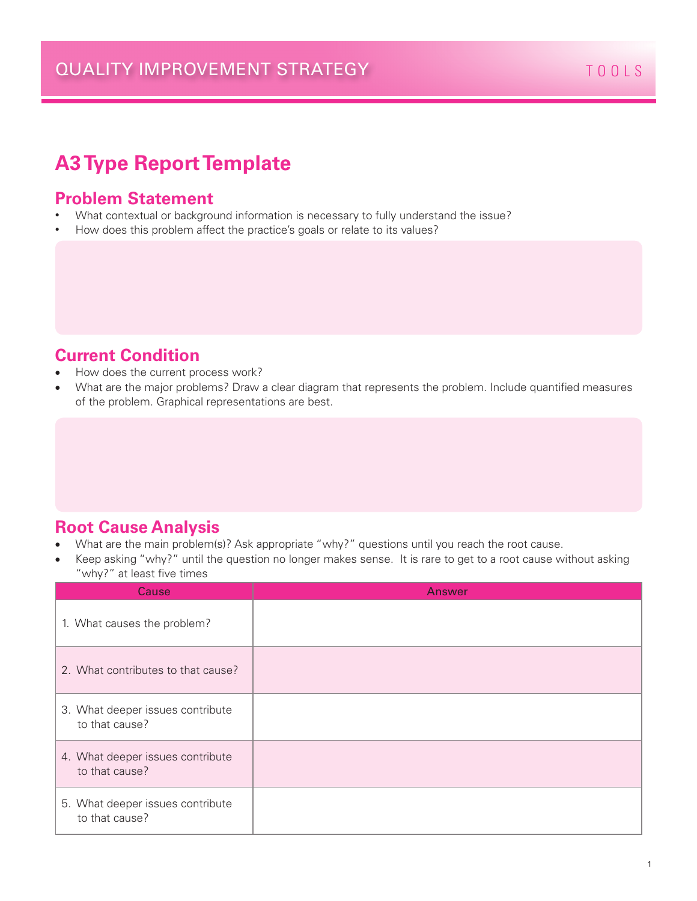# **A3 Type Report Template**

#### **Problem Statement**

- What contextual or background information is necessary to fully understand the issue?
- How does this problem affect the practice's goals or relate to its values?

#### **Current Condition**

- How does the current process work?
- What are the major problems? Draw a clear diagram that represents the problem. Include quantified measures of the problem. Graphical representations are best.

#### **Root Cause Analysis**

- What are the main problem(s)? Ask appropriate "why?" questions until you reach the root cause.
- Keep asking "why?" until the question no longer makes sense. It is rare to get to a root cause without asking "why?" at least five times

| Cause                                              | Answer |
|----------------------------------------------------|--------|
| 1. What causes the problem?                        |        |
| 2. What contributes to that cause?                 |        |
| 3. What deeper issues contribute<br>to that cause? |        |
| 4. What deeper issues contribute<br>to that cause? |        |
| 5. What deeper issues contribute<br>to that cause? |        |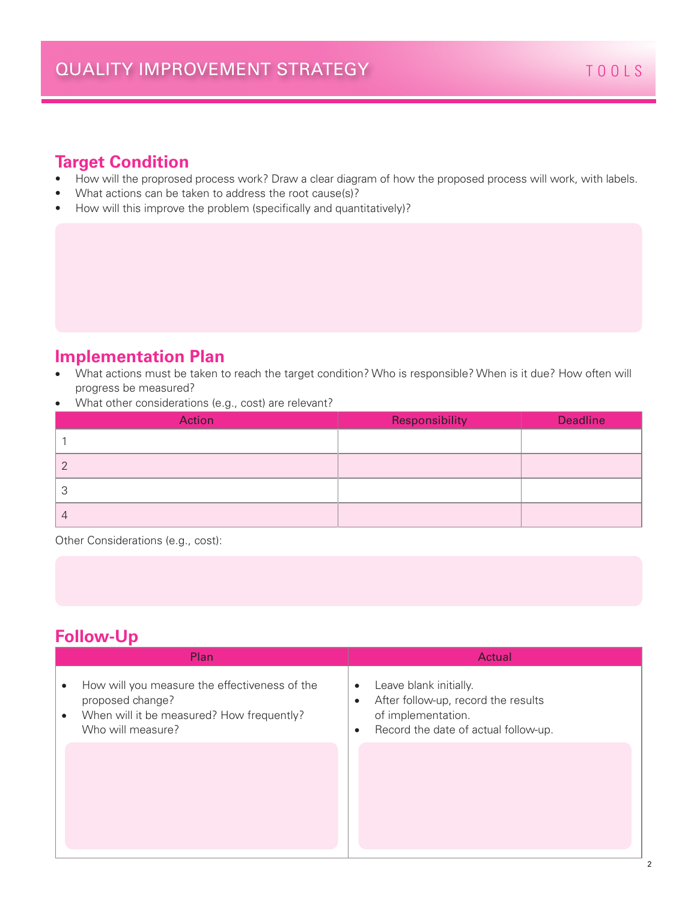### **Target Condition**

- How will the proprosed process work? Draw a clear diagram of how the proposed process will work, with labels.
- What actions can be taken to address the root cause(s)?
- How will this improve the problem (specifically and quantitatively)?

#### **Implementation Plan**

- What actions must be taken to reach the target condition? Who is responsible? When is it due? How often will progress be measured?
- What other considerations (e.g., cost) are relevant?

| Action | Responsibility | <b>Deadline</b> |
|--------|----------------|-----------------|
|        |                |                 |
|        |                |                 |
|        |                |                 |
|        |                |                 |

Other Considerations (e.g., cost):

### **Follow-Up**

| Plan                                                                                                                                                  | Actual                                                                                                                                                             |
|-------------------------------------------------------------------------------------------------------------------------------------------------------|--------------------------------------------------------------------------------------------------------------------------------------------------------------------|
| How will you measure the effectiveness of the<br>٠<br>proposed change?<br>When will it be measured? How frequently?<br>$\bullet$<br>Who will measure? | Leave blank initially.<br>$\bullet$<br>After follow-up, record the results<br>$\bullet$<br>of implementation.<br>Record the date of actual follow-up.<br>$\bullet$ |
|                                                                                                                                                       |                                                                                                                                                                    |